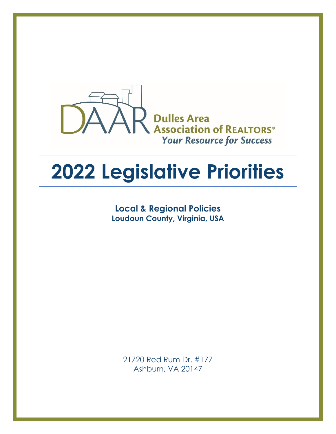

# **2022 Legislative Priorities**

**Local & Regional Policies Loudoun County, Virginia, USA**

21720 Red Rum Dr. #177 Ashburn, VA 20147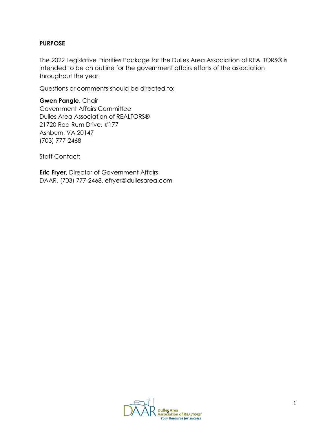#### **PURPOSE**

The 2022 Legislative Priorities Package for the Dulles Area Association of REALTORS® is intended to be an outline for the government affairs efforts of the association throughout the year.

Questions or comments should be directed to:

**Gwen Pangle**, Chair Government Affairs Committee Dulles Area Association of REALTORS® 21720 Red Rum Drive, #177 Ashburn, VA 20147 (703) 777-2468

Staff Contact:

**Eric Fryer**, Director of Government Affairs DAAR, (703) 777-2468, efryer@dullesarea.com

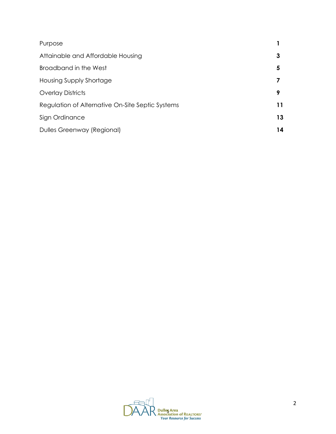| Purpose                                          |    |
|--------------------------------------------------|----|
| Attainable and Affordable Housing                | 3  |
| Broadband in the West                            | 5  |
| Housing Supply Shortage                          |    |
| <b>Overlay Districts</b>                         | 9  |
| Regulation of Alternative On-Site Septic Systems | 11 |
| Sign Ordinance                                   | 13 |
| Dulles Greenway (Regional)                       | 14 |

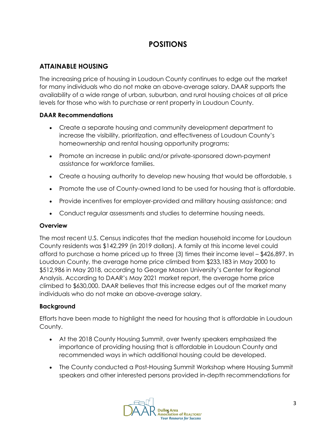# **POSITIONS**

# **ATTAINABLE HOUSING**

The increasing price of housing in Loudoun County continues to edge out the market for many individuals who do not make an above-average salary. DAAR supports the availability of a wide range of urban, suburban, and rural housing choices at all price levels for those who wish to purchase or rent property in Loudoun County.

# **DAAR Recommendations**

- Create a separate housing and community development department to increase the visibility, prioritization, and effectiveness of Loudoun County's homeownership and rental housing opportunity programs;
- Promote an increase in public and/or private-sponsored down-payment assistance for workforce families.
- Create a housing authority to develop new housing that would be affordable, s
- Promote the use of County-owned land to be used for housing that is affordable.
- Provide incentives for employer-provided and military housing assistance; and
- Conduct regular assessments and studies to determine housing needs.

# **Overview**

The most recent U.S. Census indicates that the median household income for Loudoun County residents was \$142,299 (in 2019 dollars). A family at this income level could afford to purchase a home priced up to three (3) times their income level – \$426,897. In Loudoun County, the average home price climbed from \$233,183 in May 2000 to \$512,986 in May 2018, according to George Mason University's Center for Regional Analysis. According to DAAR's May 2021 market report, the average home price climbed to \$630,000. DAAR believes that this increase edges out of the market many individuals who do not make an above-average salary.

# **Background**

Efforts have been made to highlight the need for housing that is affordable in Loudoun County.

- At the 2018 County Housing Summit, over twenty speakers emphasized the importance of providing housing that is affordable in Loudoun County and recommended ways in which additional housing could be developed.
- The County conducted a Post-Housing Summit Workshop where Housing Summit speakers and other interested persons provided in-depth recommendations for

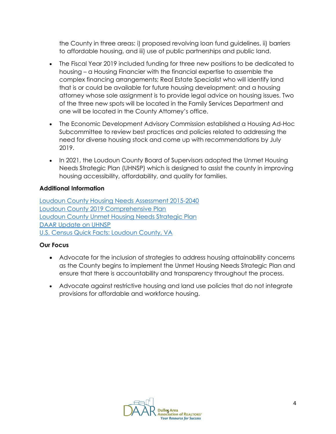the County in three areas: i) proposed revolving loan fund guidelines, ii) barriers to affordable housing, and iii) use of public partnerships and public land.

- The Fiscal Year 2019 included funding for three new positions to be dedicated to housing – a Housing Financier with the financial expertise to assemble the complex financing arrangements; Real Estate Specialist who will identify land that is or could be available for future housing development; and a housing attorney whose sole assignment is to provide legal advice on housing issues. Two of the three new spots will be located in the Family Services Department and one will be located in the County Attorney's office.
- The Economic Development Advisory Commission established a Housing Ad-Hoc Subcommittee to review best practices and policies related to addressing the need for diverse housing stock and come up with recommendations by July 2019.
- In 2021, the Loudoun County Board of Supervisors adopted the Unmet Housing Needs Strategic Plan (UHNSP) which is designed to assist the county in improving housing accessibility, affordability, and quality for families.

# **Additional Information**

[Loudoun County Housing Needs Assessment 2015-2040](https://www.loudoun.gov/DocumentCenter/View/127559) [Loudoun County 2019 Comprehensive Plan](https://www.loudoun.gov/DocumentCenter/View/152285/General-Plan---Combined-with-small-maps-bookmarked) [Loudoun County Unmet Housing Needs Strategic Plan](https://www.loudoun.gov/DocumentCenter/View/167024/Unmet-Housing-Needs-Strategic-Plan-Approved-9821-with-Appendices) [DAAR Update on UHNSP](https://dullesarea.com/2021/10/01/loudouns-bos-adopts-unmet-housing-needs-strategic-plan/) [U.S. Census Quick Facts: Loudoun County, VA](https://www.census.gov/quickfacts/fact/table/loudouncountyvirginia/POP010220)

# **Our Focus**

- Advocate for the inclusion of strategies to address housing attainability concerns as the County begins to implement the Unmet Housing Needs Strategic Plan and ensure that there is accountability and transparency throughout the process.
- Advocate against restrictive housing and land use policies that do not integrate provisions for affordable and workforce housing.

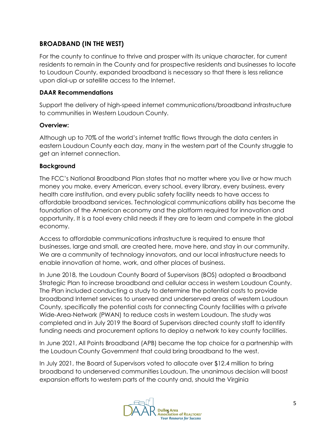# **BROADBAND (IN THE WEST)**

For the county to continue to thrive and prosper with its unique character, for current residents to remain in the County and for prospective residents and businesses to locate to Loudoun County, expanded broadband is necessary so that there is less reliance upon dial-up or satellite access to the Internet.

# **DAAR Recommendations**

Support the delivery of high-speed internet communications/broadband infrastructure to communities in Western Loudoun County.

# **Overview:**

Although up to 70% of the world's internet traffic flows through the data centers in eastern Loudoun County each day, many in the western part of the County struggle to get an internet connection.

# **Background**

The FCC's National Broadband Plan states that no matter where you live or how much money you make, every American, every school, every library, every business, every health care institution, and every public safety facility needs to have access to affordable broadband services. Technological communications ability has become the foundation of the American economy and the platform required for innovation and opportunity. It is a tool every child needs if they are to learn and compete in the global economy.

Access to affordable communications infrastructure is required to ensure that businesses, large and small, are created here, move here, and stay in our community. We are a community of technology innovators, and our local infrastructure needs to enable innovation at home, work, and other places of business.

In June 2018, the Loudoun County Board of Supervisors (BOS) adopted a Broadband Strategic Plan to increase broadband and cellular access in western Loudoun County. The Plan included conducting a study to determine the potential costs to provide broadband Internet services to unserved and underserved areas of western Loudoun County, specifically the potential costs for connecting County facilities with a private Wide-Area-Network (PWAN) to reduce costs in western Loudoun. The study was completed and in July 2019 the Board of Supervisors directed county staff to identify funding needs and procurement options to deploy a network to key county facilities.

In June 2021, All Points Broadband (APB) became the top choice for a partnership with the Loudoun County Government that could bring broadband to the west.

In July 2021, the Board of Supervisors voted to allocate over \$12.4 million to bring broadband to underserved communities Loudoun. The unanimous decision will boost expansion efforts to western parts of the county and, should the Virginia

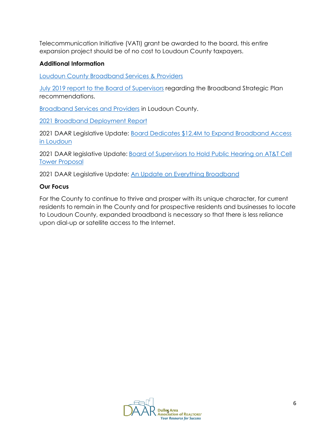Telecommunication Initiative (VATI) grant be awarded to the board, this entire expansion project should be of no cost to Loudoun County taxpayers.

## **Additional Information**

[Loudoun County Broadband Services & Providers](https://www.loudoun.gov/broadband)

[July 2019 report to the Board of Supervisors](https://lfportal.loudoun.gov/LFPortalinternet/0/edoc/351493/Item%2011f%20FGOEDC-Columbia%20Telecommunication%20Corp%20Broadband%20Study%20Findings.pdf) regarding the Broadband Strategic Plan recommendations.

[Broadband Services and Providers](https://www.loudoun.gov/700/Broadband-Services) in Loudoun County.

2021 [Broadband Deployment Report](https://www.fcc.gov/reports-research/reports/broadband-progress-reports/fourteenth-broadband-deployment-report)

2021 DAAR Legislative Update: [Board Dedicates \\$12.4M to Expand Broadband Access](https://dullesarea.com/2021/07/28/board-dedicates-12-4m-to-expand-broadband-access-in-loudoun/)  [in Loudoun](https://dullesarea.com/2021/07/28/board-dedicates-12-4m-to-expand-broadband-access-in-loudoun/)

2021 DAAR legislative Update: [Board of Supervisors to Hold Public Hearing on AT&T Cell](https://dullesarea.com/2021/08/27/board-of-supervisors-to-hold-public-hearing-on-att-cell-tower-proposal/)  [Tower Proposal](https://dullesarea.com/2021/08/27/board-of-supervisors-to-hold-public-hearing-on-att-cell-tower-proposal/)

2021 DAAR Legislative Update: An Update [on Everything Broadband](https://dullesarea.com/2021/06/16/update-everything-broadband/)

### **Our Focus**

For the County to continue to thrive and prosper with its unique character, for current residents to remain in the County and for prospective residents and businesses to locate to Loudoun County, expanded broadband is necessary so that there is less reliance upon dial-up or satellite access to the Internet.

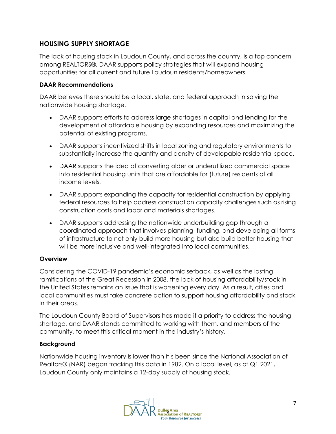# **HOUSING SUPPLY SHORTAGE**

The lack of housing stock in Loudoun County, and across the country, is a top concern among REALTORS®. DAAR supports policy strategies that will expand housing opportunities for all current and future Loudoun residents/homeowners.

### **DAAR Recommendations**

DAAR believes there should be a local, state, and federal approach in solving the nationwide housing shortage.

- DAAR supports efforts to address large shortages in capital and lending for the development of affordable housing by expanding resources and maximizing the potential of existing programs.
- DAAR supports incentivized shifts in local zoning and regulatory environments to substantially increase the quantity and density of developable residential space.
- DAAR supports the idea of converting older or underutilized commercial space into residential housing units that are affordable for (future) residents of all income levels.
- DAAR supports expanding the capacity for residential construction by applying federal resources to help address construction capacity challenges such as rising construction costs and labor and materials shortages.
- DAAR supports addressing the nationwide underbuilding gap through a coordinated approach that involves planning, funding, and developing all forms of infrastructure to not only build more housing but also build better housing that will be more inclusive and well-integrated into local communities.

# **Overview**

Considering the COVID-19 pandemic's economic setback, as well as the lasting ramifications of the Great Recession in 2008, the lack of housing affordability/stock in the United States remains an issue that is worsening every day. As a result, cities and local communities must take concrete action to support housing affordability and stock in their areas.

The Loudoun County Board of Supervisors has made it a priority to address the housing shortage, and DAAR stands committed to working with them, and members of the community, to meet this critical moment in the industry's history.

# **Background**

Nationwide housing inventory is lower than it's been since the National Association of Realtors® (NAR) began tracking this data in 1982. On a local level, as of Q1 2021, Loudoun County only maintains a 12-day supply of housing stock.

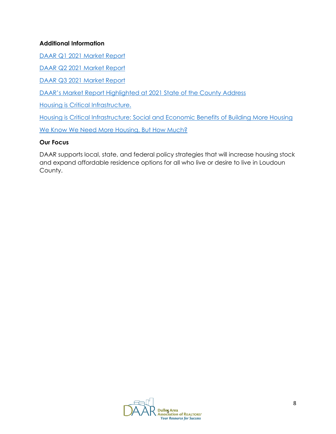## **Additional Information**

[DAAR Q1 2021 Market Report](https://dullesarea.com/2021/05/03/q1-2021-market-indicators-report/)

[DAAR Q2 2021 Market Report](https://dullesarea.com/wp-content/uploads/2021/08/DAAR-2021-Q2-Housing-Market-Report.pdf)

[DAAR Q3 2021 Market Report](https://dullesarea.com/wp-content/uploads/2021/11/DAAR-2021-Q3-Housing-Market-Report.pdf)

[DAAR's Market Report Highlighted at 2021 State of the County Address](https://dullesarea.com/2021/05/27/daars-market-report-highlighted-at-2021-state-of-the-county-address/)

[Housing is Critical Infrastructure.](https://www.nar.realtor/political-advocacy/housing-is-critical-infrastructure)

[Housing is Critical Infrastructure: Social and Economic Benefits of Building More Housing](https://cdn.nar.realtor/sites/default/files/documents/Housing-is-Critical-Infrastructure-Social-and-Economic-Benefits-of-Building-More-Housing-6-15-2021.pdf)

[We Know We Need More Housing, But How Much?](https://virginiarealtors.org/2021/07/06/we-know-we-need-more-housing-but-how-much/?_cldee=ZWZyeWVyQGR1bGxlc2FyZWEuY29t&recipientid=contact-7d53fa9908804847927a2f9ba490d36b-2b47c0fde92f44da9cf36bfc668e0697&esid=1e883cda-63de-eb11-9c66-00155d0079a1)

#### **Our Focus**

DAAR supports local, state, and federal policy strategies that will increase housing stock and expand affordable residence options for all who live or desire to live in Loudoun County.

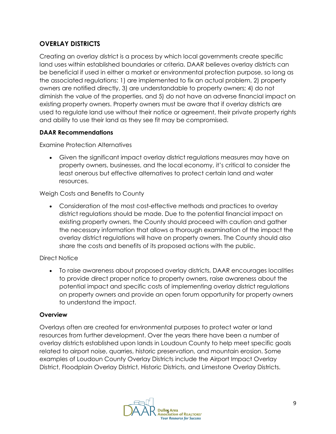# **OVERLAY DISTRICTS**

Creating an overlay district is a process by which local governments create specific land uses within established boundaries or criteria. DAAR believes overlay districts can be beneficial if used in either a market or environmental protection purpose, so long as the associated regulations: 1) are implemented to fix an actual problem, 2) property owners are notified directly, 3) are understandable to property owners; 4) do not diminish the value of the properties, and 5) do not have an adverse financial impact on existing property owners. Property owners must be aware that if overlay districts are used to regulate land use without their notice or agreement, their private property rights and ability to use their land as they see fit may be compromised.

# **DAAR Recommendations**

Examine Protection Alternatives

• Given the significant impact overlay district regulations measures may have on property owners, businesses, and the local economy, it's critical to consider the least onerous but effective alternatives to protect certain land and water resources.

Weigh Costs and Benefits to County

• Consideration of the most cost-effective methods and practices to overlay district regulations should be made. Due to the potential financial impact on existing property owners, the County should proceed with caution and gather the necessary information that allows a thorough examination of the impact the overlay district regulations will have on property owners. The County should also share the costs and benefits of its proposed actions with the public.

# Direct Notice

• To raise awareness about proposed overlay districts, DAAR encourages localities to provide direct proper notice to property owners, raise awareness about the potential impact and specific costs of implementing overlay district regulations on property owners and provide an open forum opportunity for property owners to understand the impact.

# **Overview**

Overlays often are created for environmental purposes to protect water or land resources from further development. Over the years there have been a number of overlay districts established upon lands in Loudoun County to help meet specific goals related to airport noise, quarries, historic preservation, and mountain erosion. Some examples of Loudoun County Overlay Districts include the Airport Impact Overlay District, Floodplain Overlay District, Historic Districts, and Limestone Overlay Districts.

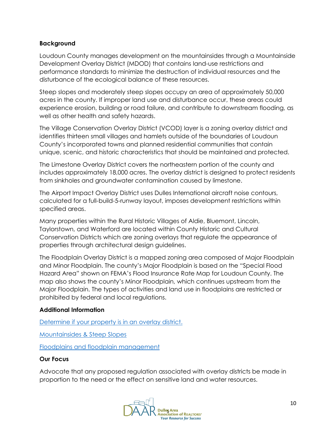#### **Background**

Loudoun County manages development on the mountainsides through a Mountainside Development Overlay District (MDOD) that contains land-use restrictions and performance standards to minimize the destruction of individual resources and the disturbance of the ecological balance of these resources.

Steep slopes and moderately steep slopes occupy an area of approximately 50,000 acres in the county. If improper land use and disturbance occur, these areas could experience erosion, building or road failure, and contribute to downstream flooding, as well as other health and safety hazards.

The Village Conservation Overlay District (VCOD) layer is a zoning overlay district and identifies thirteen small villages and hamlets outside of the boundaries of Loudoun County's incorporated towns and planned residential communities that contain unique, scenic, and historic characteristics that should be maintained and protected.

The Limestone Overlay District covers the northeastern portion of the county and includes approximately 18,000 acres. The overlay district is designed to protect residents from sinkholes and groundwater contamination caused by limestone.

The Airport Impact Overlay District uses Dulles International aircraft noise contours, calculated for a full-build-5-runway layout, imposes development restrictions within specified areas.

Many properties within the Rural Historic Villages of Aldie, Bluemont, Lincoln, Taylorstown, and Waterford are located within County Historic and Cultural Conservation Districts which are zoning overlays that regulate the appearance of properties through architectural design guidelines.

The Floodplain Overlay District is a mapped zoning area composed of Major Floodplain and Minor Floodplain. The county's Major Floodplain is based on the "Special Flood Hazard Area" shown on FEMA's Flood Insurance Rate Map for Loudoun County. The map also shows the county's Minor Floodplain, which continues upstream from the Major Floodplain. The types of activities and land use in floodplains are restricted or prohibited by federal and local regulations.

# **Additional Information**

[Determine if your property is in an overlay district.](https://logis.loudoun.gov/weblogis/)

[Mountainsides & Steep Slopes](https://www.loudoun.gov/1378/Steep-Slopes-Mountainsides)

[Floodplains and floodplain management](https://www.loudoun.gov/1505/Floodplains)

#### **Our Focus**

Advocate that any proposed regulation associated with overlay districts be made in proportion to the need or the effect on sensitive land and water resources.

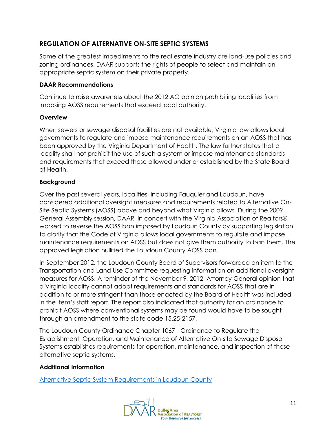# **REGULATION OF ALTERNATIVE ON-SITE SEPTIC SYSTEMS**

Some of the greatest impediments to the real estate industry are land-use policies and zoning ordinances. DAAR supports the rights of people to select and maintain an appropriate septic system on their private property.

# **DAAR Recommendations**

Continue to raise awareness about the 2012 AG opinion prohibiting localities from imposing AOSS requirements that exceed local authority.

# **Overview**

When sewers or sewage disposal facilities are not available, Virginia law allows local governments to regulate and impose maintenance requirements on an AOSS that has been approved by the Virginia Department of Health. The law further states that a locality shall not prohibit the use of such a system or impose maintenance standards and requirements that exceed those allowed under or established by the State Board of Health.

# **Background**

Over the past several years, localities, including Fauquier and Loudoun, have considered additional oversight measures and requirements related to Alternative On-Site Septic Systems (AOSS) above and beyond what Virginia allows. During the 2009 General Assembly session, DAAR, in concert with the Virginia Association of Realtors®, worked to reverse the AOSS ban imposed by Loudoun County by supporting legislation to clarify that the Code of Virginia allows local governments to regulate and impose maintenance requirements on AOSS but does not give them authority to ban them. The approved legislation nullified the Loudoun County AOSS ban.

In September 2012, the Loudoun County Board of Supervisors forwarded an item to the Transportation and Land Use Committee requesting information on additional oversight measures for AOSS. A reminder of the November 9, 2012, Attorney General opinion that a Virginia locality cannot adopt requirements and standards for AOSS that are in addition to or more stringent than those enacted by the Board of Health was included in the item's staff report. The report also indicated that authority for an ordinance to prohibit AOSS where conventional systems may be found would have to be sought through an amendment to the state code 15.25-2157.

The Loudoun County Ordinance Chapter 1067 - Ordinance to Regulate the Establishment, Operation, and Maintenance of Alternative On-site Sewage Disposal Systems establishes requirements for operation, maintenance, and inspection of these alternative septic systems.

# **Additional Information**

[Alternative Septic System Requirements in Loudoun County](https://www.loudoun.gov/1411/County-Requirements)

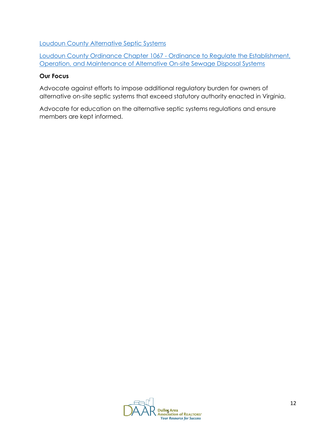[Loudoun County Alternative Septic Systems](https://www.loudoun.gov/1383/Alternative-Onsite-Septic-Systems)

[Loudoun County Ordinance Chapter 1067 -](https://codelibrary.amlegal.com/codes/loudouncounty/latest/loudounco_va/0-0-0-7957) Ordinance to Regulate the Establishment, [Operation, and Maintenance of Alternative On-site Sewage Disposal Systems](https://codelibrary.amlegal.com/codes/loudouncounty/latest/loudounco_va/0-0-0-7957)

#### **Our Focus**

Advocate against efforts to impose additional regulatory burden for owners of alternative on-site septic systems that exceed statutory authority enacted in Virginia.

Advocate for education on the alternative septic systems regulations and ensure members are kept informed.

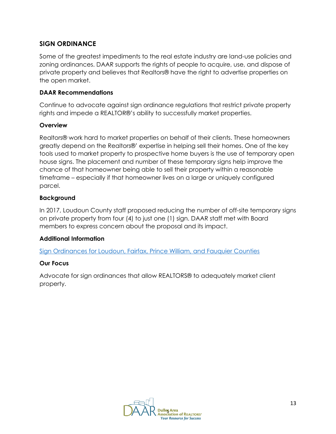# **SIGN ORDINANCE**

Some of the greatest impediments to the real estate industry are land-use policies and zoning ordinances. DAAR supports the rights of people to acquire, use, and dispose of private property and believes that Realtors® have the right to advertise properties on the open market.

#### **DAAR Recommendations**

Continue to advocate against sign ordinance regulations that restrict private property rights and impede a REALTOR®'s ability to successfully market properties.

#### **Overview**

Realtors® work hard to market properties on behalf of their clients. These homeowners greatly depend on the Realtors®' expertise in helping sell their homes. One of the key tools used to market property to prospective home buyers is the use of temporary open house signs. The placement and number of these temporary signs help improve the chance of that homeowner being able to sell their property within a reasonable timeframe – especially if that homeowner lives on a large or uniquely configured parcel.

#### **Background**

In 2017, Loudoun County staff proposed reducing the number of off-site temporary signs on private property from four (4) to just one (1) sign. DAAR staff met with Board members to express concern about the proposal and its impact.

#### **Additional Information**

[Sign Ordinances for Loudoun, Fairfax, Prince William, and Fauquier Counties](https://dullesarea.com/advocacy-legal/local-issues-resources/sign-ordinances-for-loudoun-fairfax-prince-william-and-fauquier-counties/)

#### **Our Focus**

Advocate for sign ordinances that allow REALTORS® to adequately market client property.

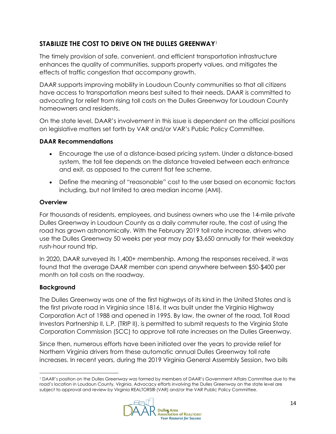# **STABILIZE THE COST TO DRIVE ON THE DULLES GREENWAY**<sup>1</sup>

The timely provision of safe, convenient, and efficient transportation infrastructure enhances the quality of communities, supports property values, and mitigates the effects of traffic congestion that accompany growth.

DAAR supports improving mobility in Loudoun County communities so that all citizens have access to transportation means best suited to their needs. DAAR is committed to advocating for relief from rising toll costs on the Dulles Greenway for Loudoun County homeowners and residents.

On the state level, DAAR's involvement in this issue is dependent on the official positions on legislative matters set forth by VAR and/or VAR's Public Policy Committee.

# **DAAR Recommendations**

- Encourage the use of a distance-based pricing system. Under a distance-based system, the toll fee depends on the distance traveled between each entrance and exit, as opposed to the current flat fee scheme.
- Define the meaning of "reasonable" cost to the user based on economic factors including, but not limited to area median income (AMI).

# **Overview**

For thousands of residents, employees, and business owners who use the 14-mile private Dulles Greenway in Loudoun County as a daily commuter route, the cost of using the road has grown astronomically. With the February 2019 toll rate increase, drivers who use the Dulles Greenway 50 weeks per year may pay \$3,650 annually for their weekday rush-hour round trip.

In 2020, DAAR surveyed its 1,400+ membership. Among the responses received, it was found that the average DAAR member can spend anywhere between \$50-\$400 per month on toll costs on the roadway.

# **Background**

The Dulles Greenway was one of the first highways of its kind in the United States and is the first private road in Virginia since 1816. It was built under the Virginia Highway Corporation Act of 1988 and opened in 1995. By law, the owner of the road, Toll Road Investors Partnership II, L.P. (TRIP II), is permitted to submit requests to the Virginia State Corporation Commission (SCC) to approve toll rate increases on the Dulles Greenway.

Since then, numerous efforts have been initiated over the years to provide relief for Northern Virginia drivers from these automatic annual Dulles Greenway toll rate increases. In recent years, during the 2019 Virginia General Assembly Session, two bills

<sup>1</sup> DAAR's position on the Dulles Greenway was formed by members of DAAR's Government Affairs Committee due to the road's location in Loudoun County, Virginia. Advocacy efforts involving the Dulles Greenway on the state level are subject to approval and review by Virginia REALTORS® (VAR) and/or the VAR Public Policy Committee.